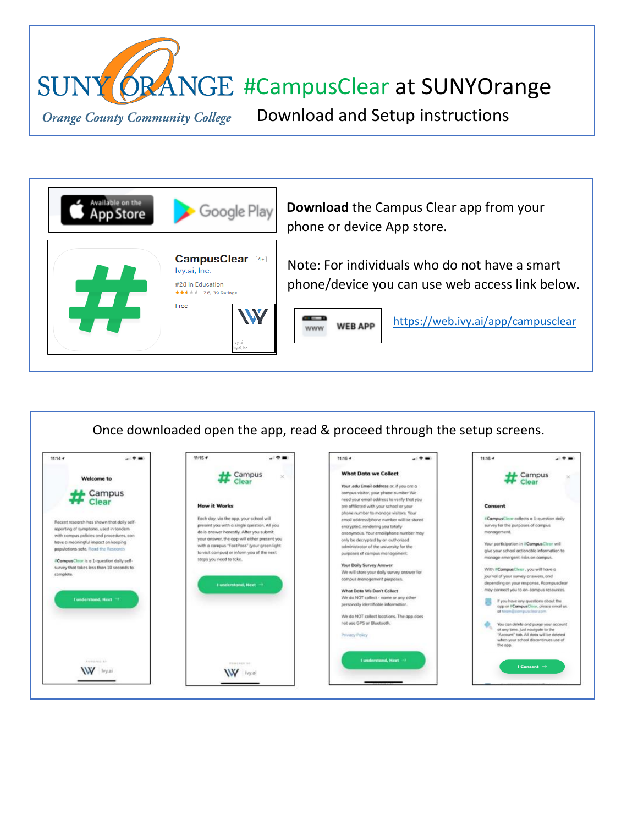



Once downloaded open the app, read & proceed through the setup screens.  $11:15 +$  $11:14$  +  $A$  (  $\Phi$  and  $-9.9$  $11:15 +$  $\mathbf{u}$   $\mathbf{r}$  and  $11:15 +$  $A1 \nabla \cdot \mathbf{H}$ What Data we Collect # Campus # Campus **Welcome to** Your edu Email address or if you are a Campus compus visitor, your phone number We need your email address to verify that you Clear **How it Works** are offliated with your school or your Consent phone number to manage visitors. Your Each day, via the app, your school will email address/phone number will be stored #CampusClear collects a 1-question daily Recent research has shown that daily selfpresent you with a single question. All you survey for the purposes of compus encrypted, rendering you totally reporting of symptoms, used in tandem do is answer honestly. After you submit nous. Your en .<br>Wphone number n monogement. with compus policies and procedures, con<br>have a meaningful impact on keeping your answer, the app will either present you only be decrypted by an authorized with a campus "FastPass" (your green light administrator of the university for the populations sofe. Read the Research Select whether you are a student whether you are a student when the campus management, and the campus, monoge emergent risks on compus.<br>
Select Daily Survey Answer CompusClear is a 1-question daily selfsurvey that tokes less than 10 seconds to complete journal of your survey onswers, and compus management purposes. depending on your response, #campusclear **Lunderstand, Next**  $\rightarrow$ What Data We Don't Collect may connect you to on-campus resources. t understand, Next -> We do NOT collect - name or any other If you have any questions about the<br>app or IIComputCleor, please email us<br>at team@computclear.com personally identifiable information We do NOT collect locations. The app does You can delete and purge your account<br>of any time. Just novigate to the<br>"Account" tab. All data will be tildeted<br>when your school discontinues use of<br>when you not use GPS or Bluetooth. Privacy Policy I understood, Next I Consent  $\rightarrow$ W hyai W liyal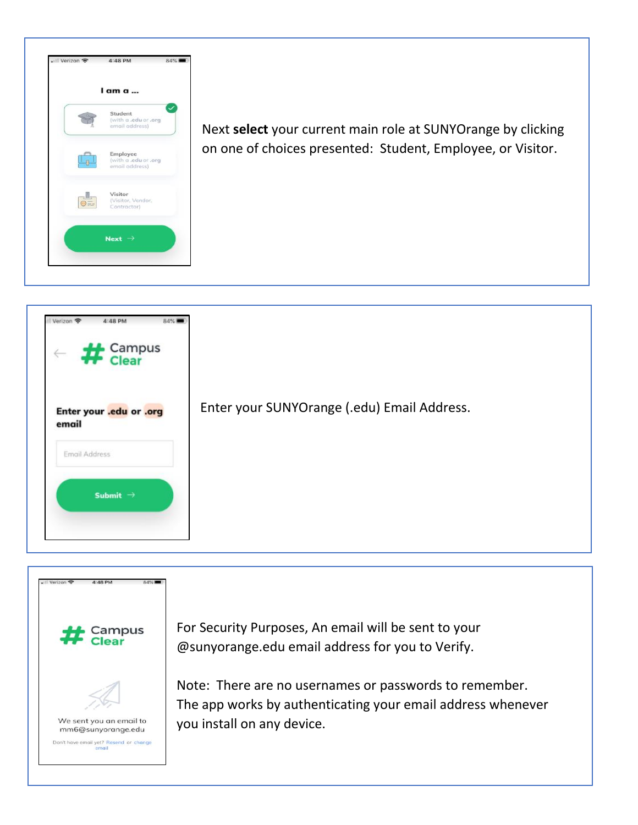

Next **select** your current main role at SUNYOrange by clicking on one of choices presented: Student, Employee, or Visitor.



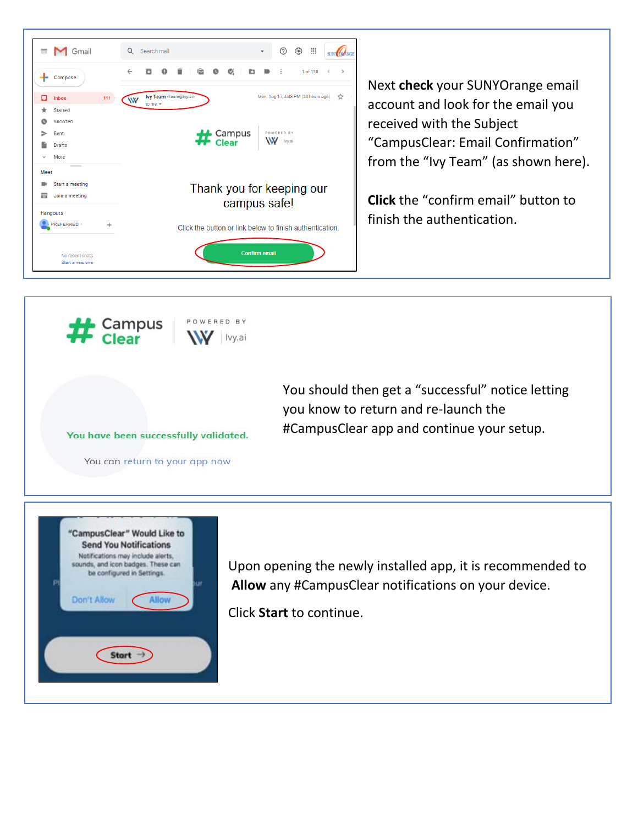

Next **check** your SUNYOrange email account and look for the email you received with the Subject "CampusClear: Email Confirmation" from the "Ivy Team" (as shown here).

**Click** the "confirm email" button to finish the authentication.



You should then get a "successful" notice letting you know to return and re-launch the #CampusClear app and continue your setup.

You have been successfully validated.

You can return to your app now



Upon opening the newly installed app, it is recommended to **Allow** any #CampusClear notifications on your device.

Click **Start** to continue.